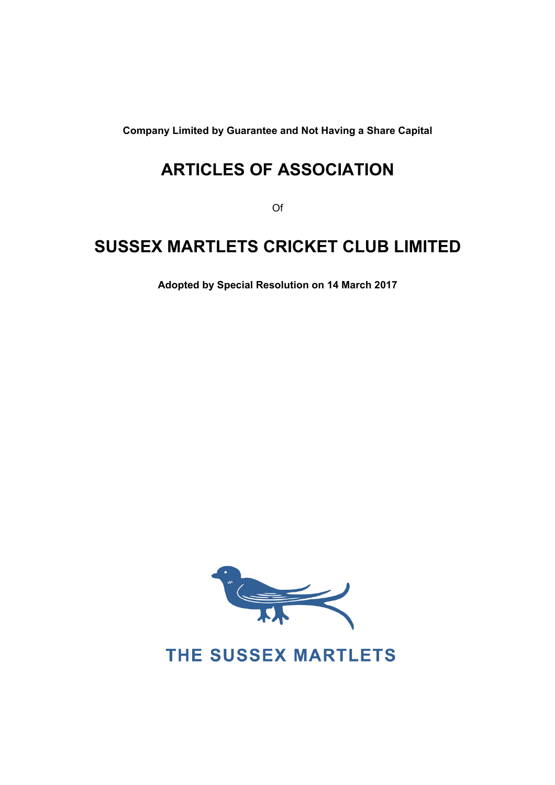**Company Limited by Guarantee and Not Having a Share Capital** 

# **ARTICLES OF ASSOCIATION**

Of

# **SUSSEX MARTLETS CRICKET CLUB LIMITED**

**Adopted by Special Resolution on 14 March 2017** 



THE SUSSEX MARTLETS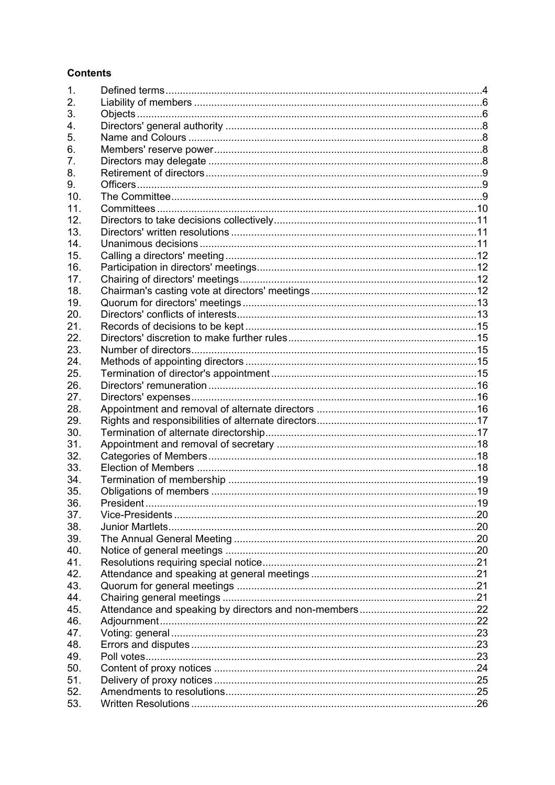### **Contents**

| 1.  |  |
|-----|--|
| 2.  |  |
| 3.  |  |
| 4.  |  |
| 5.  |  |
| 6.  |  |
| 7.  |  |
| 8.  |  |
| 9.  |  |
| 10. |  |
| 11. |  |
| 12. |  |
| 13. |  |
| 14. |  |
| 15. |  |
| 16. |  |
| 17. |  |
| 18. |  |
| 19. |  |
| 20. |  |
| 21. |  |
| 22. |  |
| 23. |  |
| 24. |  |
| 25. |  |
| 26. |  |
| 27. |  |
| 28. |  |
| 29. |  |
| 30. |  |
| 31. |  |
| 32. |  |
| 33. |  |
| 34. |  |
| 35. |  |
| 36. |  |
| 37. |  |
| 38. |  |
| 39. |  |
| 40. |  |
| 41. |  |
| 42. |  |
| 43. |  |
| 44. |  |
| 45. |  |
| 46. |  |
| 47. |  |
| 48. |  |
| 49. |  |
| 50. |  |
| 51. |  |
| 52. |  |
| 53. |  |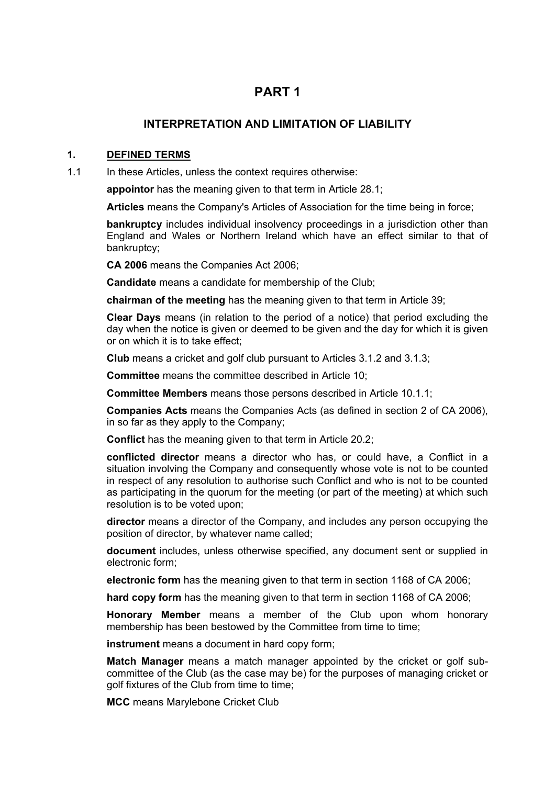# **PART 1**

### **INTERPRETATION AND LIMITATION OF LIABILITY**

#### **1. DEFINED TERMS**

1.1 In these Articles, unless the context requires otherwise:

**appointor** has the meaning given to that term in Article 28.1;

**Articles** means the Company's Articles of Association for the time being in force;

**bankruptcy** includes individual insolvency proceedings in a jurisdiction other than England and Wales or Northern Ireland which have an effect similar to that of bankruptcy;

**CA 2006** means the Companies Act 2006;

**Candidate** means a candidate for membership of the Club;

**chairman of the meeting** has the meaning given to that term in Article 39;

**Clear Days** means (in relation to the period of a notice) that period excluding the day when the notice is given or deemed to be given and the day for which it is given or on which it is to take effect;

**Club** means a cricket and golf club pursuant to Articles 3.1.2 and 3.1.3;

**Committee** means the committee described in Article 10;

**Committee Members** means those persons described in Article 10.1.1;

**Companies Acts** means the Companies Acts (as defined in section 2 of CA 2006), in so far as they apply to the Company;

**Conflict** has the meaning given to that term in Article 20.2;

**conflicted director** means a director who has, or could have, a Conflict in a situation involving the Company and consequently whose vote is not to be counted in respect of any resolution to authorise such Conflict and who is not to be counted as participating in the quorum for the meeting (or part of the meeting) at which such resolution is to be voted upon;

**director** means a director of the Company, and includes any person occupying the position of director, by whatever name called;

**document** includes, unless otherwise specified, any document sent or supplied in electronic form;

**electronic form** has the meaning given to that term in section 1168 of CA 2006;

**hard copy form** has the meaning given to that term in section 1168 of CA 2006;

**Honorary Member** means a member of the Club upon whom honorary membership has been bestowed by the Committee from time to time;

**instrument** means a document in hard copy form;

**Match Manager** means a match manager appointed by the cricket or golf subcommittee of the Club (as the case may be) for the purposes of managing cricket or golf fixtures of the Club from time to time;

**MCC** means Marylebone Cricket Club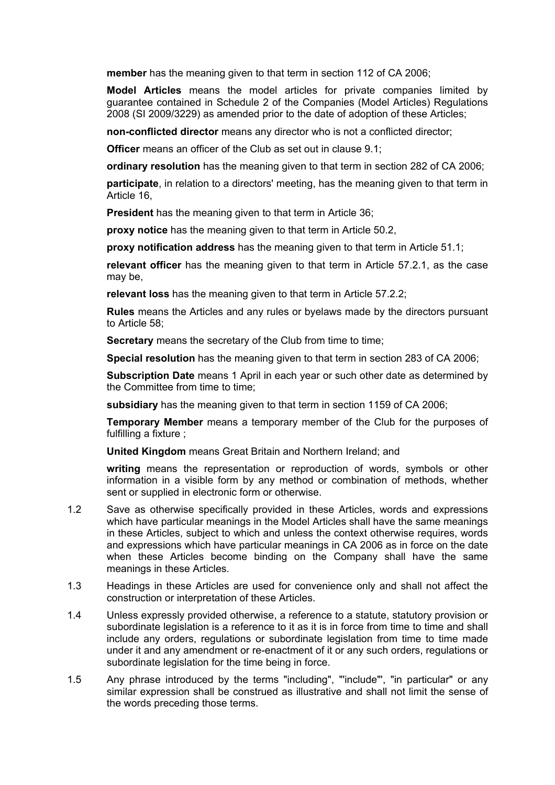**member** has the meaning given to that term in section 112 of CA 2006;

**Model Articles** means the model articles for private companies limited by guarantee contained in Schedule 2 of the Companies (Model Articles) Regulations 2008 (SI 2009/3229) as amended prior to the date of adoption of these Articles;

**non-conflicted director** means any director who is not a conflicted director;

**Officer** means an officer of the Club as set out in clause 9.1;

**ordinary resolution** has the meaning given to that term in section 282 of CA 2006;

**participate**, in relation to a directors' meeting, has the meaning given to that term in Article 16,

**President** has the meaning given to that term in Article 36;

**proxy notice** has the meaning given to that term in Article 50.2,

**proxy notification address** has the meaning given to that term in Article 51.1;

**relevant officer** has the meaning given to that term in Article 57.2.1, as the case may be,

**relevant loss** has the meaning given to that term in Article 57.2.2;

**Rules** means the Articles and any rules or byelaws made by the directors pursuant to Article 58;

**Secretary** means the secretary of the Club from time to time;

**Special resolution** has the meaning given to that term in section 283 of CA 2006;

**Subscription Date** means 1 April in each year or such other date as determined by the Committee from time to time;

**subsidiary** has the meaning given to that term in section 1159 of CA 2006;

**Temporary Member** means a temporary member of the Club for the purposes of fulfilling a fixture ;

**United Kingdom** means Great Britain and Northern Ireland; and

**writing** means the representation or reproduction of words, symbols or other information in a visible form by any method or combination of methods, whether sent or supplied in electronic form or otherwise.

- 1.2 Save as otherwise specifically provided in these Articles, words and expressions which have particular meanings in the Model Articles shall have the same meanings in these Articles, subject to which and unless the context otherwise requires, words and expressions which have particular meanings in CA 2006 as in force on the date when these Articles become binding on the Company shall have the same meanings in these Articles.
- 1.3 Headings in these Articles are used for convenience only and shall not affect the construction or interpretation of these Articles.
- 1.4 Unless expressly provided otherwise, a reference to a statute, statutory provision or subordinate legislation is a reference to it as it is in force from time to time and shall include any orders, regulations or subordinate legislation from time to time made under it and any amendment or re-enactment of it or any such orders, regulations or subordinate legislation for the time being in force.
- 1.5 Any phrase introduced by the terms "including", "'include"', "in particular" or any similar expression shall be construed as illustrative and shall not limit the sense of the words preceding those terms.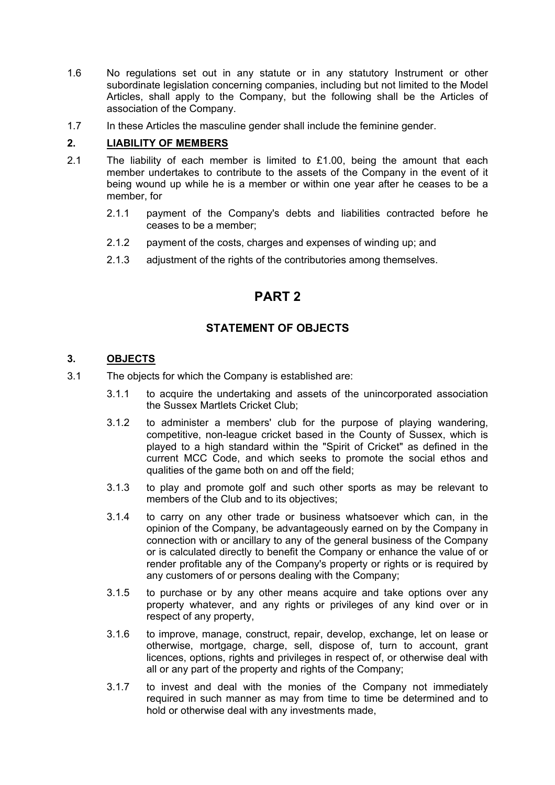- 1.6 No regulations set out in any statute or in any statutory Instrument or other subordinate legislation concerning companies, including but not limited to the Model Articles, shall apply to the Company, but the following shall be the Articles of association of the Company.
- 1.7 In these Articles the masculine gender shall include the feminine gender.

### **2. LIABILITY OF MEMBERS**

- 2.1 The liability of each member is limited to £1.00, being the amount that each member undertakes to contribute to the assets of the Company in the event of it being wound up while he is a member or within one year after he ceases to be a member, for
	- 2.1.1 payment of the Company's debts and liabilities contracted before he ceases to be a member;
	- 2.1.2 payment of the costs, charges and expenses of winding up; and
	- 2.1.3 adjustment of the rights of the contributories among themselves.

## **PART 2**

### **STATEMENT OF OBJECTS**

### **3. OBJECTS**

- 3.1 The objects for which the Company is established are:
	- 3.1.1 to acquire the undertaking and assets of the unincorporated association the Sussex Martlets Cricket Club;
	- 3.1.2 to administer a members' club for the purpose of playing wandering, competitive, non-league cricket based in the County of Sussex, which is played to a high standard within the "Spirit of Cricket" as defined in the current MCC Code, and which seeks to promote the social ethos and qualities of the game both on and off the field;
	- 3.1.3 to play and promote golf and such other sports as may be relevant to members of the Club and to its objectives;
	- 3.1.4 to carry on any other trade or business whatsoever which can, in the opinion of the Company, be advantageously earned on by the Company in connection with or ancillary to any of the general business of the Company or is calculated directly to benefit the Company or enhance the value of or render profitable any of the Company's property or rights or is required by any customers of or persons dealing with the Company;
	- 3.1.5 to purchase or by any other means acquire and take options over any property whatever, and any rights or privileges of any kind over or in respect of any property,
	- 3.1.6 to improve, manage, construct, repair, develop, exchange, let on lease or otherwise, mortgage, charge, sell, dispose of, turn to account, grant licences, options, rights and privileges in respect of, or otherwise deal with all or any part of the property and rights of the Company;
	- 3.1.7 to invest and deal with the monies of the Company not immediately required in such manner as may from time to time be determined and to hold or otherwise deal with any investments made,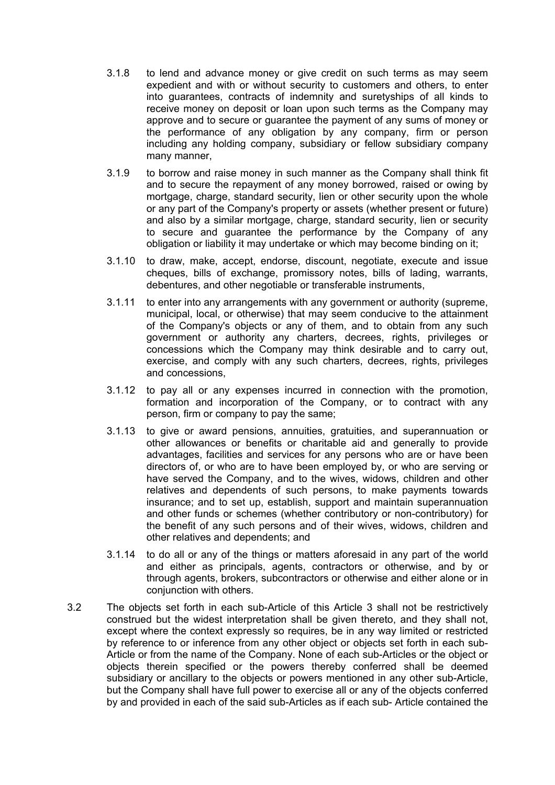- 3.1.8 to lend and advance money or give credit on such terms as may seem expedient and with or without security to customers and others, to enter into guarantees, contracts of indemnity and suretyships of all kinds to receive money on deposit or loan upon such terms as the Company may approve and to secure or guarantee the payment of any sums of money or the performance of any obligation by any company, firm or person including any holding company, subsidiary or fellow subsidiary company many manner,
- 3.1.9 to borrow and raise money in such manner as the Company shall think fit and to secure the repayment of any money borrowed, raised or owing by mortgage, charge, standard security, lien or other security upon the whole or any part of the Company's property or assets (whether present or future) and also by a similar mortgage, charge, standard security, lien or security to secure and guarantee the performance by the Company of any obligation or liability it may undertake or which may become binding on it;
- 3.1.10 to draw, make, accept, endorse, discount, negotiate, execute and issue cheques, bills of exchange, promissory notes, bills of lading, warrants, debentures, and other negotiable or transferable instruments,
- 3.1.11 to enter into any arrangements with any government or authority (supreme, municipal, local, or otherwise) that may seem conducive to the attainment of the Company's objects or any of them, and to obtain from any such government or authority any charters, decrees, rights, privileges or concessions which the Company may think desirable and to carry out, exercise, and comply with any such charters, decrees, rights, privileges and concessions,
- 3.1.12 to pay all or any expenses incurred in connection with the promotion, formation and incorporation of the Company, or to contract with any person, firm or company to pay the same;
- 3.1.13 to give or award pensions, annuities, gratuities, and superannuation or other allowances or benefits or charitable aid and generally to provide advantages, facilities and services for any persons who are or have been directors of, or who are to have been employed by, or who are serving or have served the Company, and to the wives, widows, children and other relatives and dependents of such persons, to make payments towards insurance; and to set up, establish, support and maintain superannuation and other funds or schemes (whether contributory or non-contributory) for the benefit of any such persons and of their wives, widows, children and other relatives and dependents; and
- 3.1.14 to do all or any of the things or matters aforesaid in any part of the world and either as principals, agents, contractors or otherwise, and by or through agents, brokers, subcontractors or otherwise and either alone or in conjunction with others.
- 3.2 The objects set forth in each sub-Article of this Article 3 shall not be restrictively construed but the widest interpretation shall be given thereto, and they shall not, except where the context expressly so requires, be in any way limited or restricted by reference to or inference from any other object or objects set forth in each sub-Article or from the name of the Company. None of each sub-Articles or the object or objects therein specified or the powers thereby conferred shall be deemed subsidiary or ancillary to the objects or powers mentioned in any other sub-Article, but the Company shall have full power to exercise all or any of the objects conferred by and provided in each of the said sub-Articles as if each sub- Article contained the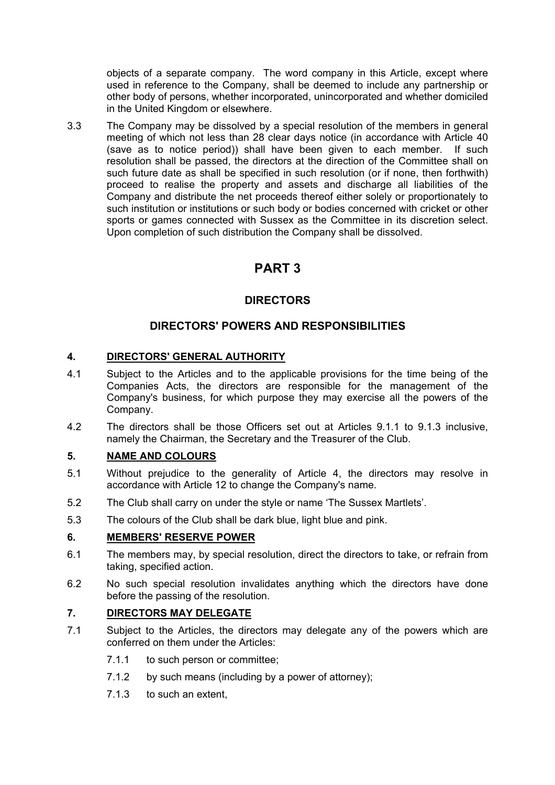objects of a separate company. The word company in this Article, except where used in reference to the Company, shall be deemed to include any partnership or other body of persons, whether incorporated, unincorporated and whether domiciled in the United Kingdom or elsewhere.

3.3 The Company may be dissolved by a special resolution of the members in general meeting of which not less than 28 clear days notice (in accordance with Article 40 (save as to notice period)) shall have been given to each member. If such resolution shall be passed, the directors at the direction of the Committee shall on such future date as shall be specified in such resolution (or if none, then forthwith) proceed to realise the property and assets and discharge all liabilities of the Company and distribute the net proceeds thereof either solely or proportionately to such institution or institutions or such body or bodies concerned with cricket or other sports or games connected with Sussex as the Committee in its discretion select. Upon completion of such distribution the Company shall be dissolved.

# **PART 3**

### **DIRECTORS**

### **DIRECTORS' POWERS AND RESPONSIBILITIES**

### **4. DIRECTORS' GENERAL AUTHORITY**

- 4.1 Subject to the Articles and to the applicable provisions for the time being of the Companies Acts, the directors are responsible for the management of the Company's business, for which purpose they may exercise all the powers of the Company.
- 4.2 The directors shall be those Officers set out at Articles 9.1.1 to 9.1.3 inclusive, namely the Chairman, the Secretary and the Treasurer of the Club.

### **5. NAME AND COLOURS**

- 5.1 Without prejudice to the generality of Article 4, the directors may resolve in accordance with Article 12 to change the Company's name.
- 5.2 The Club shall carry on under the style or name 'The Sussex Martlets'.
- 5.3 The colours of the Club shall be dark blue, light blue and pink.

### **6. MEMBERS' RESERVE POWER**

- 6.1 The members may, by special resolution, direct the directors to take, or refrain from taking, specified action.
- 6.2 No such special resolution invalidates anything which the directors have done before the passing of the resolution.

### **7. DIRECTORS MAY DELEGATE**

- 7.1 Subject to the Articles, the directors may delegate any of the powers which are conferred on them under the Articles:
	- 7.1.1 to such person or committee;
	- 7.1.2 by such means (including by a power of attorney);
	- 7.1.3 to such an extent,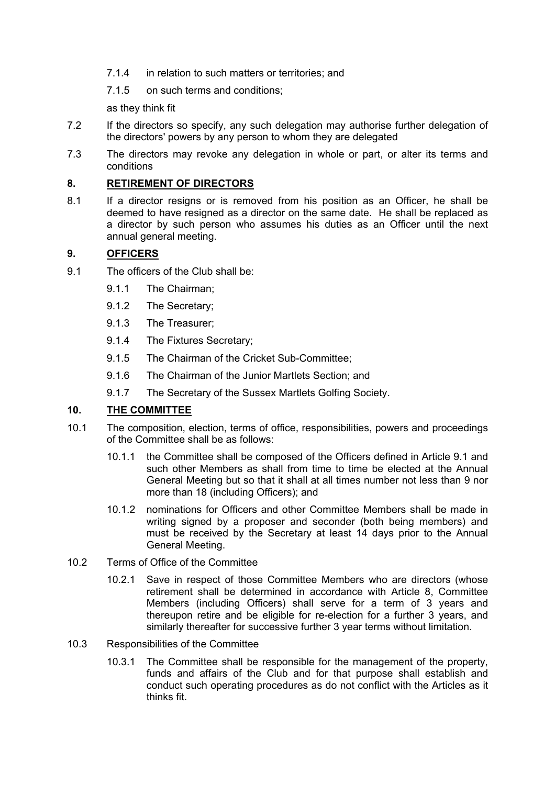- 7.1.4 in relation to such matters or territories; and
- 7.1.5 on such terms and conditions;

as they think fit

- 7.2 If the directors so specify, any such delegation may authorise further delegation of the directors' powers by any person to whom they are delegated
- 7.3 The directors may revoke any delegation in whole or part, or alter its terms and conditions

### **8. RETIREMENT OF DIRECTORS**

8.1 If a director resigns or is removed from his position as an Officer, he shall be deemed to have resigned as a director on the same date. He shall be replaced as a director by such person who assumes his duties as an Officer until the next annual general meeting.

#### **9. OFFICERS**

- 9.1 The officers of the Club shall be:
	- 9.1.1 The Chairman;
	- 9.1.2 The Secretary;
	- 9.1.3 The Treasurer;
	- 9.1.4 The Fixtures Secretary;
	- 9.1.5 The Chairman of the Cricket Sub-Committee;
	- 9.1.6 The Chairman of the Junior Martlets Section; and
	- 9.1.7 The Secretary of the Sussex Martlets Golfing Society.

### **10. THE COMMITTEE**

- 10.1 The composition, election, terms of office, responsibilities, powers and proceedings of the Committee shall be as follows:
	- 10.1.1 the Committee shall be composed of the Officers defined in Article 9.1 and such other Members as shall from time to time be elected at the Annual General Meeting but so that it shall at all times number not less than 9 nor more than 18 (including Officers); and
	- 10.1.2 nominations for Officers and other Committee Members shall be made in writing signed by a proposer and seconder (both being members) and must be received by the Secretary at least 14 days prior to the Annual General Meeting.
- 10.2 Terms of Office of the Committee
	- 10.2.1 Save in respect of those Committee Members who are directors (whose retirement shall be determined in accordance with Article 8, Committee Members (including Officers) shall serve for a term of 3 years and thereupon retire and be eligible for re-election for a further 3 years, and similarly thereafter for successive further 3 year terms without limitation.
- 10.3 Responsibilities of the Committee
	- 10.3.1 The Committee shall be responsible for the management of the property, funds and affairs of the Club and for that purpose shall establish and conduct such operating procedures as do not conflict with the Articles as it thinks fit.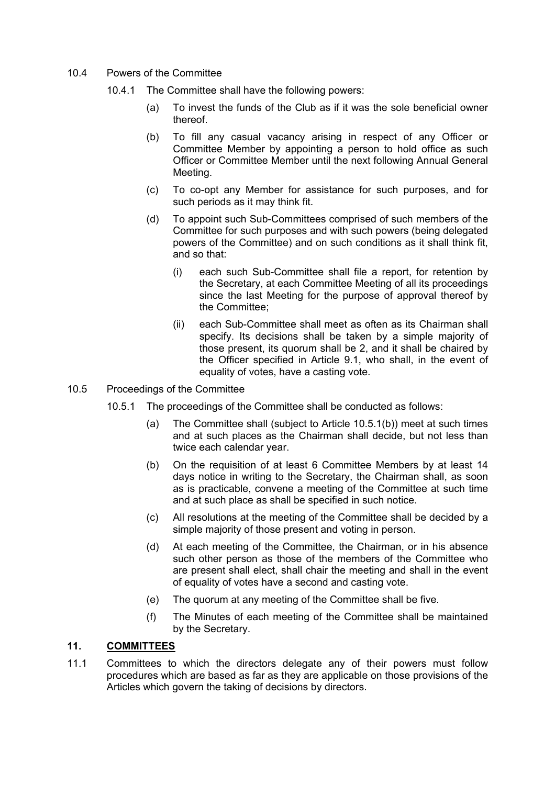- 10.4 Powers of the Committee
	- 10.4.1 The Committee shall have the following powers:
		- (a) To invest the funds of the Club as if it was the sole beneficial owner thereof.
		- (b) To fill any casual vacancy arising in respect of any Officer or Committee Member by appointing a person to hold office as such Officer or Committee Member until the next following Annual General Meeting.
		- (c) To co-opt any Member for assistance for such purposes, and for such periods as it may think fit.
		- (d) To appoint such Sub-Committees comprised of such members of the Committee for such purposes and with such powers (being delegated powers of the Committee) and on such conditions as it shall think fit, and so that:
			- (i) each such Sub-Committee shall file a report, for retention by the Secretary, at each Committee Meeting of all its proceedings since the last Meeting for the purpose of approval thereof by the Committee;
			- (ii) each Sub-Committee shall meet as often as its Chairman shall specify. Its decisions shall be taken by a simple majority of those present, its quorum shall be 2, and it shall be chaired by the Officer specified in Article 9.1, who shall, in the event of equality of votes, have a casting vote.
- 10.5 Proceedings of the Committee
	- 10.5.1 The proceedings of the Committee shall be conducted as follows:
		- (a) The Committee shall (subject to Article 10.5.1(b)) meet at such times and at such places as the Chairman shall decide, but not less than twice each calendar year.
		- (b) On the requisition of at least 6 Committee Members by at least 14 days notice in writing to the Secretary, the Chairman shall, as soon as is practicable, convene a meeting of the Committee at such time and at such place as shall be specified in such notice.
		- (c) All resolutions at the meeting of the Committee shall be decided by a simple majority of those present and voting in person.
		- (d) At each meeting of the Committee, the Chairman, or in his absence such other person as those of the members of the Committee who are present shall elect, shall chair the meeting and shall in the event of equality of votes have a second and casting vote.
		- (e) The quorum at any meeting of the Committee shall be five.
		- (f) The Minutes of each meeting of the Committee shall be maintained by the Secretary.

### **11. COMMITTEES**

11.1 Committees to which the directors delegate any of their powers must follow procedures which are based as far as they are applicable on those provisions of the Articles which govern the taking of decisions by directors.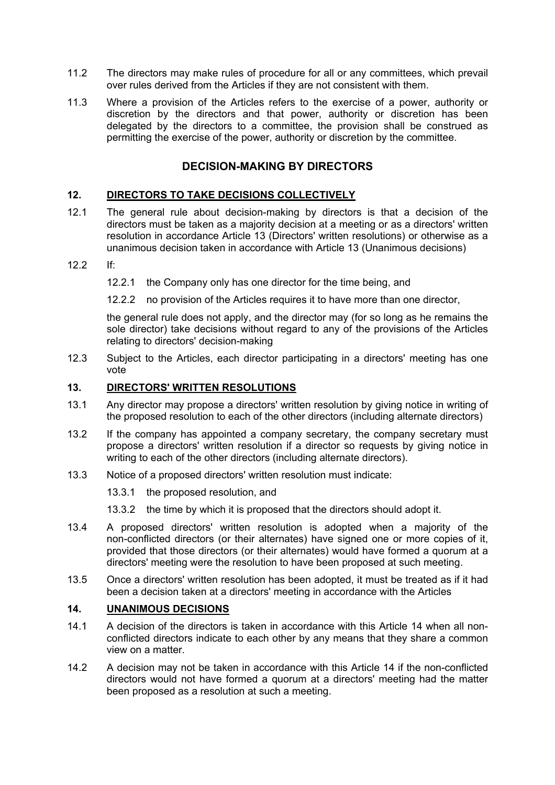- 11.2 The directors may make rules of procedure for all or any committees, which prevail over rules derived from the Articles if they are not consistent with them.
- 11.3 Where a provision of the Articles refers to the exercise of a power, authority or discretion by the directors and that power, authority or discretion has been delegated by the directors to a committee, the provision shall be construed as permitting the exercise of the power, authority or discretion by the committee.

### **DECISION-MAKING BY DIRECTORS**

### **12. DIRECTORS TO TAKE DECISIONS COLLECTIVELY**

- 12.1 The general rule about decision-making by directors is that a decision of the directors must be taken as a majority decision at a meeting or as a directors' written resolution in accordance Article 13 (Directors' written resolutions) or otherwise as a unanimous decision taken in accordance with Article 13 (Unanimous decisions)
- $12.2$  If

12.2.1 the Company only has one director for the time being, and

12.2.2 no provision of the Articles requires it to have more than one director,

the general rule does not apply, and the director may (for so long as he remains the sole director) take decisions without regard to any of the provisions of the Articles relating to directors' decision-making

12.3 Subject to the Articles, each director participating in a directors' meeting has one vote

#### **13. DIRECTORS' WRITTEN RESOLUTIONS**

- 13.1 Any director may propose a directors' written resolution by giving notice in writing of the proposed resolution to each of the other directors (including alternate directors)
- 13.2 If the company has appointed a company secretary, the company secretary must propose a directors' written resolution if a director so requests by giving notice in writing to each of the other directors (including alternate directors).
- 13.3 Notice of a proposed directors' written resolution must indicate:
	- 13.3.1 the proposed resolution, and
	- 13.3.2 the time by which it is proposed that the directors should adopt it.
- 13.4 A proposed directors' written resolution is adopted when a majority of the non-conflicted directors (or their alternates) have signed one or more copies of it, provided that those directors (or their alternates) would have formed a quorum at a directors' meeting were the resolution to have been proposed at such meeting.
- 13.5 Once a directors' written resolution has been adopted, it must be treated as if it had been a decision taken at a directors' meeting in accordance with the Articles

### **14. UNANIMOUS DECISIONS**

- 14.1 A decision of the directors is taken in accordance with this Article 14 when all nonconflicted directors indicate to each other by any means that they share a common view on a matter.
- 14.2 A decision may not be taken in accordance with this Article 14 if the non-conflicted directors would not have formed a quorum at a directors' meeting had the matter been proposed as a resolution at such a meeting.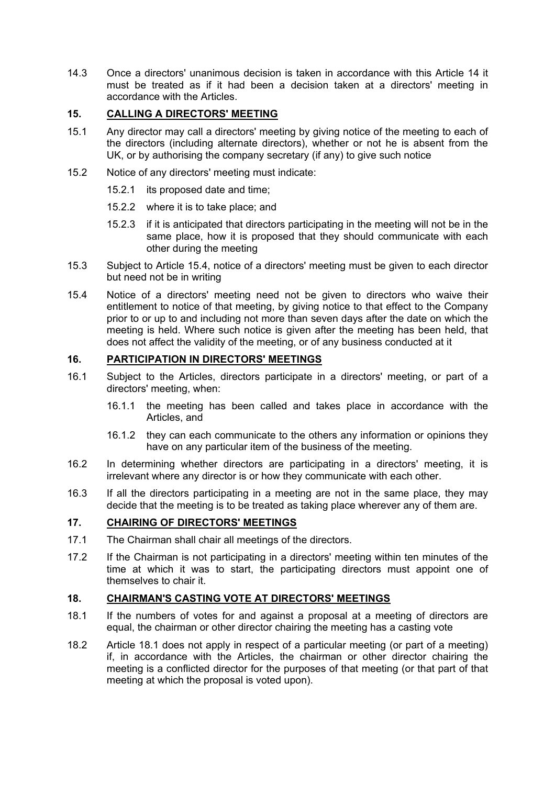14.3 Once a directors' unanimous decision is taken in accordance with this Article 14 it must be treated as if it had been a decision taken at a directors' meeting in accordance with the Articles.

### **15. CALLING A DIRECTORS' MEETING**

- 15.1 Any director may call a directors' meeting by giving notice of the meeting to each of the directors (including alternate directors), whether or not he is absent from the UK, or by authorising the company secretary (if any) to give such notice
- 15.2 Notice of any directors' meeting must indicate:
	- 15.2.1 its proposed date and time;
	- 15.2.2 where it is to take place; and
	- 15.2.3 if it is anticipated that directors participating in the meeting will not be in the same place, how it is proposed that they should communicate with each other during the meeting
- 15.3 Subject to Article 15.4, notice of a directors' meeting must be given to each director but need not be in writing
- 15.4 Notice of a directors' meeting need not be given to directors who waive their entitlement to notice of that meeting, by giving notice to that effect to the Company prior to or up to and including not more than seven days after the date on which the meeting is held. Where such notice is given after the meeting has been held, that does not affect the validity of the meeting, or of any business conducted at it

### **16. PARTICIPATION IN DIRECTORS' MEETINGS**

- 16.1 Subject to the Articles, directors participate in a directors' meeting, or part of a directors' meeting, when:
	- 16.1.1 the meeting has been called and takes place in accordance with the Articles, and
	- 16.1.2 they can each communicate to the others any information or opinions they have on any particular item of the business of the meeting.
- 16.2 In determining whether directors are participating in a directors' meeting, it is irrelevant where any director is or how they communicate with each other.
- 16.3 If all the directors participating in a meeting are not in the same place, they may decide that the meeting is to be treated as taking place wherever any of them are.

### **17. CHAIRING OF DIRECTORS' MEETINGS**

- 17.1 The Chairman shall chair all meetings of the directors.
- 17.2 If the Chairman is not participating in a directors' meeting within ten minutes of the time at which it was to start, the participating directors must appoint one of themselves to chair it.

### **18. CHAIRMAN'S CASTING VOTE AT DIRECTORS' MEETINGS**

- 18.1 If the numbers of votes for and against a proposal at a meeting of directors are equal, the chairman or other director chairing the meeting has a casting vote
- 18.2 Article 18.1 does not apply in respect of a particular meeting (or part of a meeting) if, in accordance with the Articles, the chairman or other director chairing the meeting is a conflicted director for the purposes of that meeting (or that part of that meeting at which the proposal is voted upon).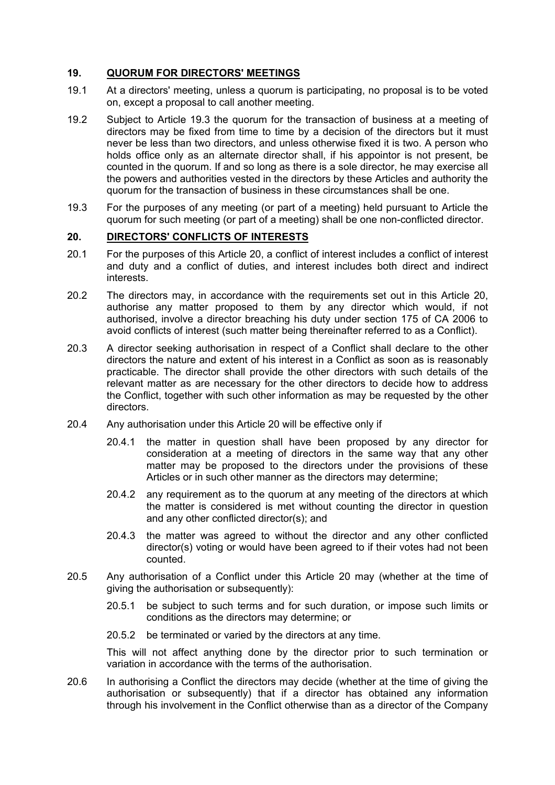### **19. QUORUM FOR DIRECTORS' MEETINGS**

- 19.1 At a directors' meeting, unless a quorum is participating, no proposal is to be voted on, except a proposal to call another meeting.
- 19.2 Subject to Article 19.3 the quorum for the transaction of business at a meeting of directors may be fixed from time to time by a decision of the directors but it must never be less than two directors, and unless otherwise fixed it is two. A person who holds office only as an alternate director shall, if his appointor is not present, be counted in the quorum. If and so long as there is a sole director, he may exercise all the powers and authorities vested in the directors by these Articles and authority the quorum for the transaction of business in these circumstances shall be one.
- 19.3 For the purposes of any meeting (or part of a meeting) held pursuant to Article the quorum for such meeting (or part of a meeting) shall be one non-conflicted director.

#### **20. DIRECTORS' CONFLICTS OF INTERESTS**

- 20.1 For the purposes of this Article 20, a conflict of interest includes a conflict of interest and duty and a conflict of duties, and interest includes both direct and indirect interests.
- 20.2 The directors may, in accordance with the requirements set out in this Article 20, authorise any matter proposed to them by any director which would, if not authorised, involve a director breaching his duty under section 175 of CA 2006 to avoid conflicts of interest (such matter being thereinafter referred to as a Conflict).
- 20.3 A director seeking authorisation in respect of a Conflict shall declare to the other directors the nature and extent of his interest in a Conflict as soon as is reasonably practicable. The director shall provide the other directors with such details of the relevant matter as are necessary for the other directors to decide how to address the Conflict, together with such other information as may be requested by the other directors.
- 20.4 Any authorisation under this Article 20 will be effective only if
	- 20.4.1 the matter in question shall have been proposed by any director for consideration at a meeting of directors in the same way that any other matter may be proposed to the directors under the provisions of these Articles or in such other manner as the directors may determine;
	- 20.4.2 any requirement as to the quorum at any meeting of the directors at which the matter is considered is met without counting the director in question and any other conflicted director(s); and
	- 20.4.3 the matter was agreed to without the director and any other conflicted director(s) voting or would have been agreed to if their votes had not been counted.
- 20.5 Any authorisation of a Conflict under this Article 20 may (whether at the time of giving the authorisation or subsequently):
	- 20.5.1 be subject to such terms and for such duration, or impose such limits or conditions as the directors may determine; or
	- 20.5.2 be terminated or varied by the directors at any time.

This will not affect anything done by the director prior to such termination or variation in accordance with the terms of the authorisation.

20.6 In authorising a Conflict the directors may decide (whether at the time of giving the authorisation or subsequently) that if a director has obtained any information through his involvement in the Conflict otherwise than as a director of the Company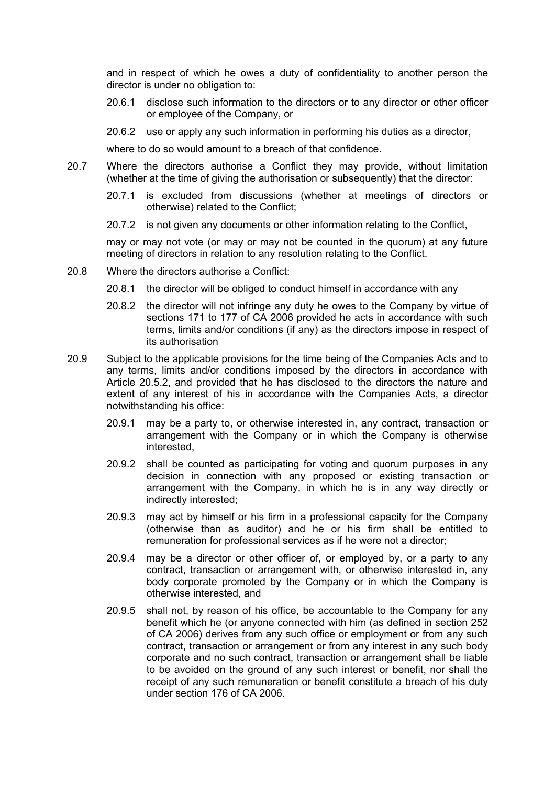and in respect of which he owes a duty of confidentiality to another person the director is under no obligation to:

- 20.6.1 disclose such information to the directors or to any director or other officer or employee of the Company, or
- 20.6.2 use or apply any such information in performing his duties as a director,

where to do so would amount to a breach of that confidence.

- 20.7 Where the directors authorise a Conflict they may provide, without limitation (whether at the time of giving the authorisation or subsequently) that the director:
	- 20.7.1 is excluded from discussions (whether at meetings of directors or otherwise) related to the Conflict;
	- 20.7.2 is not given any documents or other information relating to the Conflict,

may or may not vote (or may or may not be counted in the quorum) at any future meeting of directors in relation to any resolution relating to the Conflict.

- 20.8 Where the directors authorise a Conflict:
	- 20.8.1 the director will be obliged to conduct himself in accordance with any
	- 20.8.2 the director will not infringe any duty he owes to the Company by virtue of sections 171 to 177 of CA 2006 provided he acts in accordance with such terms, limits and/or conditions (if any) as the directors impose in respect of its authorisation
- 20.9 Subject to the applicable provisions for the time being of the Companies Acts and to any terms, limits and/or conditions imposed by the directors in accordance with Article 20.5.2, and provided that he has disclosed to the directors the nature and extent of any interest of his in accordance with the Companies Acts, a director notwithstanding his office:
	- 20.9.1 may be a party to, or otherwise interested in, any contract, transaction or arrangement with the Company or in which the Company is otherwise interested,
	- 20.9.2 shall be counted as participating for voting and quorum purposes in any decision in connection with any proposed or existing transaction or arrangement with the Company, in which he is in any way directly or indirectly interested;
	- 20.9.3 may act by himself or his firm in a professional capacity for the Company (otherwise than as auditor) and he or his firm shall be entitled to remuneration for professional services as if he were not a director;
	- 20.9.4 may be a director or other officer of, or employed by, or a party to any contract, transaction or arrangement with, or otherwise interested in, any body corporate promoted by the Company or in which the Company is otherwise interested, and
	- 20.9.5 shall not, by reason of his office, be accountable to the Company for any benefit which he (or anyone connected with him (as defined in section 252 of CA 2006) derives from any such office or employment or from any such contract, transaction or arrangement or from any interest in any such body corporate and no such contract, transaction or arrangement shall be liable to be avoided on the ground of any such interest or benefit, nor shall the receipt of any such remuneration or benefit constitute a breach of his duty under section 176 of CA 2006.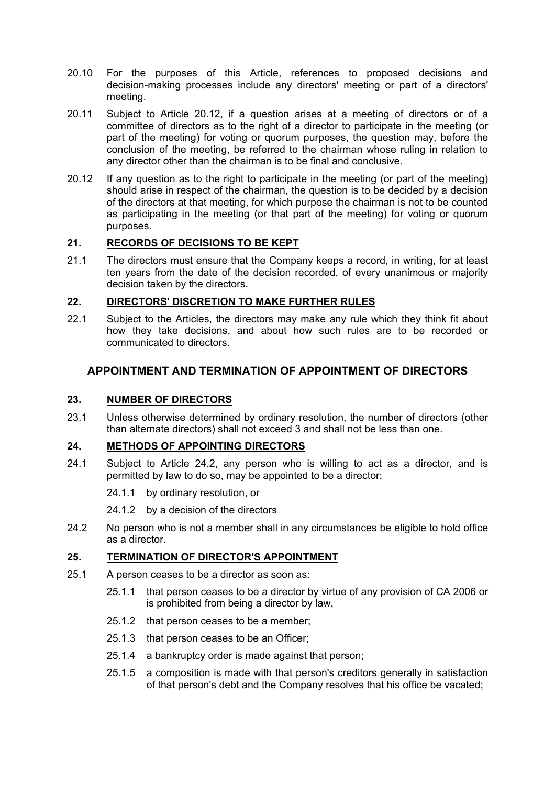- 20.10 For the purposes of this Article, references to proposed decisions and decision-making processes include any directors' meeting or part of a directors' meeting.
- 20.11 Subject to Article 20.12, if a question arises at a meeting of directors or of a committee of directors as to the right of a director to participate in the meeting (or part of the meeting) for voting or quorum purposes, the question may, before the conclusion of the meeting, be referred to the chairman whose ruling in relation to any director other than the chairman is to be final and conclusive.
- 20.12 If any question as to the right to participate in the meeting (or part of the meeting) should arise in respect of the chairman, the question is to be decided by a decision of the directors at that meeting, for which purpose the chairman is not to be counted as participating in the meeting (or that part of the meeting) for voting or quorum purposes.

### **21. RECORDS OF DECISIONS TO BE KEPT**

21.1 The directors must ensure that the Company keeps a record, in writing, for at least ten years from the date of the decision recorded, of every unanimous or majority decision taken by the directors.

### **22. DIRECTORS' DISCRETION TO MAKE FURTHER RULES**

22.1 Subject to the Articles, the directors may make any rule which they think fit about how they take decisions, and about how such rules are to be recorded or communicated to directors.

### **APPOINTMENT AND TERMINATION OF APPOINTMENT OF DIRECTORS**

### **23. NUMBER OF DIRECTORS**

23.1 Unless otherwise determined by ordinary resolution, the number of directors (other than alternate directors) shall not exceed 3 and shall not be less than one.

### **24. METHODS OF APPOINTING DIRECTORS**

24.1 Subject to Article 24.2, any person who is willing to act as a director, and is permitted by law to do so, may be appointed to be a director:

24.1.1 by ordinary resolution, or

24.1.2 by a decision of the directors

24.2 No person who is not a member shall in any circumstances be eligible to hold office as a director.

### **25. TERMINATION OF DIRECTOR'S APPOINTMENT**

- 25.1 A person ceases to be a director as soon as:
	- 25.1.1 that person ceases to be a director by virtue of any provision of CA 2006 or is prohibited from being a director by law,
	- 25.1.2 that person ceases to be a member;
	- 25.1.3 that person ceases to be an Officer;
	- 25.1.4 a bankruptcy order is made against that person;
	- 25.1.5 a composition is made with that person's creditors generally in satisfaction of that person's debt and the Company resolves that his office be vacated;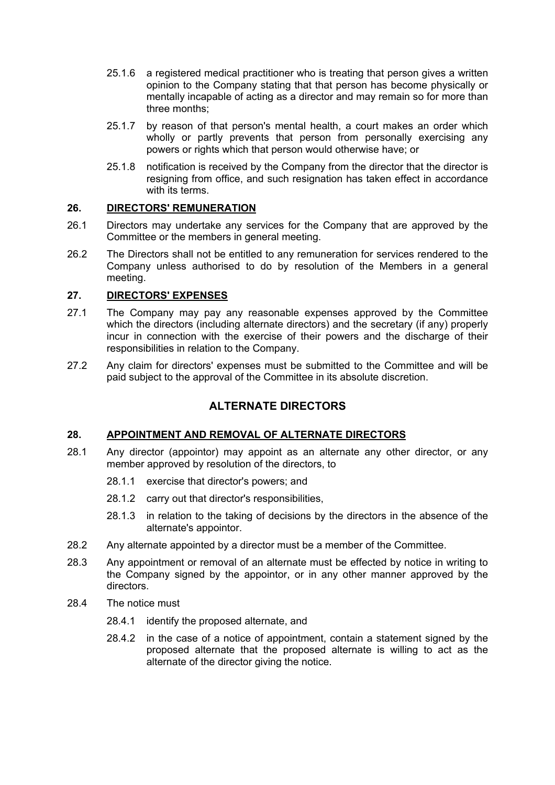- 25.1.6 a registered medical practitioner who is treating that person gives a written opinion to the Company stating that that person has become physically or mentally incapable of acting as a director and may remain so for more than three months;
- 25.1.7 by reason of that person's mental health, a court makes an order which wholly or partly prevents that person from personally exercising any powers or rights which that person would otherwise have; or
- 25.1.8 notification is received by the Company from the director that the director is resigning from office, and such resignation has taken effect in accordance with its terms.

### **26. DIRECTORS' REMUNERATION**

- 26.1 Directors may undertake any services for the Company that are approved by the Committee or the members in general meeting.
- 26.2 The Directors shall not be entitled to any remuneration for services rendered to the Company unless authorised to do by resolution of the Members in a general meeting.

### **27. DIRECTORS' EXPENSES**

- 27.1 The Company may pay any reasonable expenses approved by the Committee which the directors (including alternate directors) and the secretary (if any) properly incur in connection with the exercise of their powers and the discharge of their responsibilities in relation to the Company.
- 27.2 Any claim for directors' expenses must be submitted to the Committee and will be paid subject to the approval of the Committee in its absolute discretion.

### **ALTERNATE DIRECTORS**

### **28. APPOINTMENT AND REMOVAL OF ALTERNATE DIRECTORS**

- 28.1 Any director (appointor) may appoint as an alternate any other director, or any member approved by resolution of the directors, to
	- 28.1.1 exercise that director's powers; and
	- 28.1.2 carry out that director's responsibilities,
	- 28.1.3 in relation to the taking of decisions by the directors in the absence of the alternate's appointor.
- 28.2 Any alternate appointed by a director must be a member of the Committee.
- 28.3 Any appointment or removal of an alternate must be effected by notice in writing to the Company signed by the appointor, or in any other manner approved by the directors.
- 28.4 The notice must
	- 28.4.1 identify the proposed alternate, and
	- 28.4.2 in the case of a notice of appointment, contain a statement signed by the proposed alternate that the proposed alternate is willing to act as the alternate of the director giving the notice.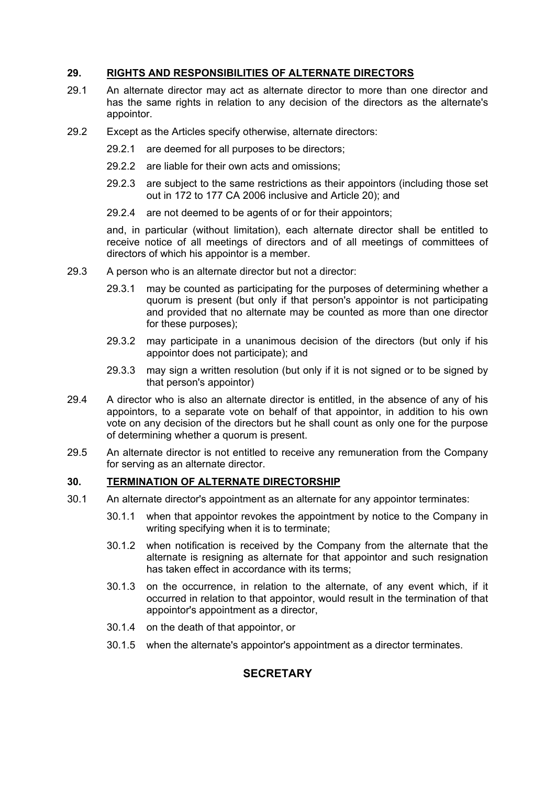### **29. RIGHTS AND RESPONSIBILITIES OF ALTERNATE DIRECTORS**

- 29.1 An alternate director may act as alternate director to more than one director and has the same rights in relation to any decision of the directors as the alternate's appointor.
- 29.2 Except as the Articles specify otherwise, alternate directors:
	- 29.2.1 are deemed for all purposes to be directors;
	- 29.2.2 are liable for their own acts and omissions;
	- 29.2.3 are subject to the same restrictions as their appointors (including those set out in 172 to 177 CA 2006 inclusive and Article 20); and
	- 29.2.4 are not deemed to be agents of or for their appointors;

and, in particular (without limitation), each alternate director shall be entitled to receive notice of all meetings of directors and of all meetings of committees of directors of which his appointor is a member.

- 29.3 A person who is an alternate director but not a director:
	- 29.3.1 may be counted as participating for the purposes of determining whether a quorum is present (but only if that person's appointor is not participating and provided that no alternate may be counted as more than one director for these purposes);
	- 29.3.2 may participate in a unanimous decision of the directors (but only if his appointor does not participate); and
	- 29.3.3 may sign a written resolution (but only if it is not signed or to be signed by that person's appointor)
- 29.4 A director who is also an alternate director is entitled, in the absence of any of his appointors, to a separate vote on behalf of that appointor, in addition to his own vote on any decision of the directors but he shall count as only one for the purpose of determining whether a quorum is present.
- 29.5 An alternate director is not entitled to receive any remuneration from the Company for serving as an alternate director.

### **30. TERMINATION OF ALTERNATE DIRECTORSHIP**

- 30.1 An alternate director's appointment as an alternate for any appointor terminates:
	- 30.1.1 when that appointor revokes the appointment by notice to the Company in writing specifying when it is to terminate;
	- 30.1.2 when notification is received by the Company from the alternate that the alternate is resigning as alternate for that appointor and such resignation has taken effect in accordance with its terms;
	- 30.1.3 on the occurrence, in relation to the alternate, of any event which, if it occurred in relation to that appointor, would result in the termination of that appointor's appointment as a director,
	- 30.1.4 on the death of that appointor, or
	- 30.1.5 when the alternate's appointor's appointment as a director terminates.

### **SECRETARY**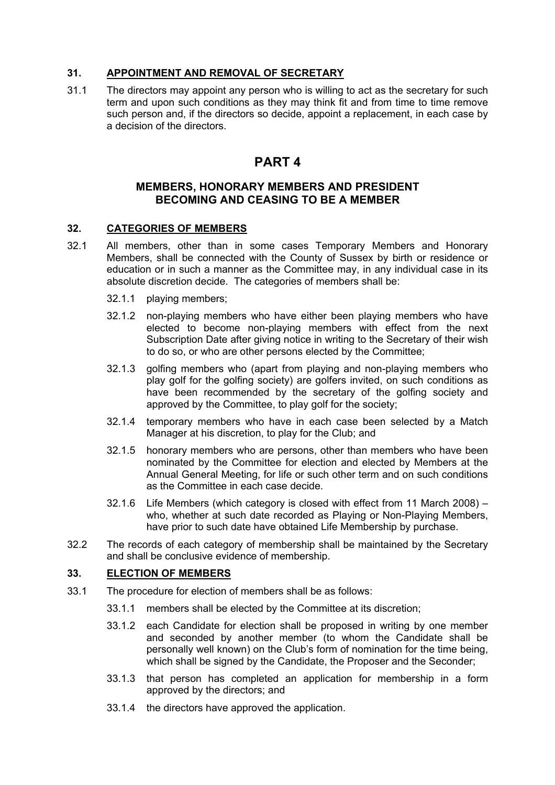### **31. APPOINTMENT AND REMOVAL OF SECRETARY**

31.1 The directors may appoint any person who is willing to act as the secretary for such term and upon such conditions as they may think fit and from time to time remove such person and, if the directors so decide, appoint a replacement, in each case by a decision of the directors.

## **PART 4**

### **MEMBERS, HONORARY MEMBERS AND PRESIDENT BECOMING AND CEASING TO BE A MEMBER**

### **32. CATEGORIES OF MEMBERS**

- 32.1 All members, other than in some cases Temporary Members and Honorary Members, shall be connected with the County of Sussex by birth or residence or education or in such a manner as the Committee may, in any individual case in its absolute discretion decide. The categories of members shall be:
	- 32.1.1 playing members;
	- 32.1.2 non-playing members who have either been playing members who have elected to become non-playing members with effect from the next Subscription Date after giving notice in writing to the Secretary of their wish to do so, or who are other persons elected by the Committee;
	- 32.1.3 golfing members who (apart from playing and non-playing members who play golf for the golfing society) are golfers invited, on such conditions as have been recommended by the secretary of the golfing society and approved by the Committee, to play golf for the society;
	- 32.1.4 temporary members who have in each case been selected by a Match Manager at his discretion, to play for the Club; and
	- 32.1.5 honorary members who are persons, other than members who have been nominated by the Committee for election and elected by Members at the Annual General Meeting, for life or such other term and on such conditions as the Committee in each case decide.
	- 32.1.6 Life Members (which category is closed with effect from 11 March 2008) who, whether at such date recorded as Playing or Non-Playing Members, have prior to such date have obtained Life Membership by purchase.
- 32.2 The records of each category of membership shall be maintained by the Secretary and shall be conclusive evidence of membership.

### **33. ELECTION OF MEMBERS**

- 33.1 The procedure for election of members shall be as follows:
	- 33.1.1 members shall be elected by the Committee at its discretion;
	- 33.1.2 each Candidate for election shall be proposed in writing by one member and seconded by another member (to whom the Candidate shall be personally well known) on the Club's form of nomination for the time being, which shall be signed by the Candidate, the Proposer and the Seconder;
	- 33.1.3 that person has completed an application for membership in a form approved by the directors; and
	- 33.1.4 the directors have approved the application.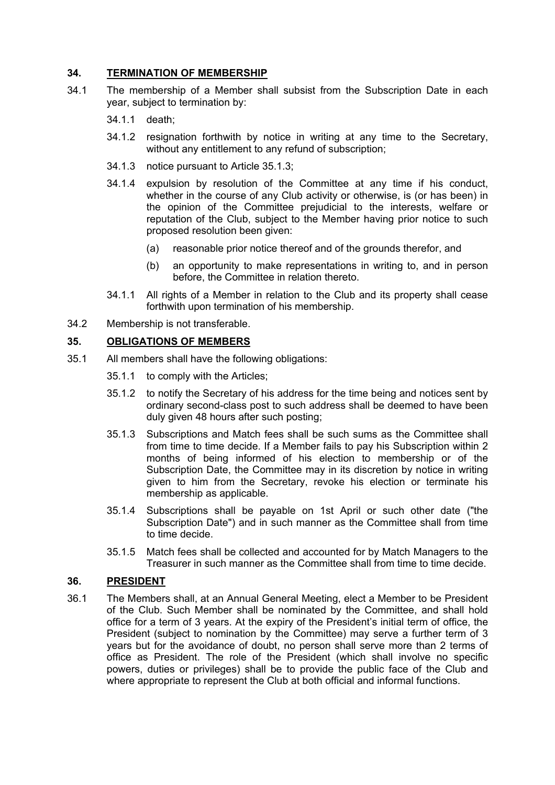### **34. TERMINATION OF MEMBERSHIP**

- 34.1 The membership of a Member shall subsist from the Subscription Date in each year, subject to termination by:
	- 34.1.1 death;
	- 34.1.2 resignation forthwith by notice in writing at any time to the Secretary, without any entitlement to any refund of subscription;
	- 34.1.3 notice pursuant to Article 35.1.3;
	- 34.1.4 expulsion by resolution of the Committee at any time if his conduct, whether in the course of any Club activity or otherwise, is (or has been) in the opinion of the Committee prejudicial to the interests, welfare or reputation of the Club, subject to the Member having prior notice to such proposed resolution been given:
		- (a) reasonable prior notice thereof and of the grounds therefor, and
		- (b) an opportunity to make representations in writing to, and in person before, the Committee in relation thereto.
	- 34.1.1 All rights of a Member in relation to the Club and its property shall cease forthwith upon termination of his membership.
- 34.2 Membership is not transferable.

### **35. OBLIGATIONS OF MEMBERS**

- 35.1 All members shall have the following obligations:
	- 35.1.1 to comply with the Articles;
	- 35.1.2 to notify the Secretary of his address for the time being and notices sent by ordinary second-class post to such address shall be deemed to have been duly given 48 hours after such posting;
	- 35.1.3 Subscriptions and Match fees shall be such sums as the Committee shall from time to time decide. If a Member fails to pay his Subscription within 2 months of being informed of his election to membership or of the Subscription Date, the Committee may in its discretion by notice in writing given to him from the Secretary, revoke his election or terminate his membership as applicable.
	- 35.1.4 Subscriptions shall be payable on 1st April or such other date ("the Subscription Date") and in such manner as the Committee shall from time to time decide.
	- 35.1.5 Match fees shall be collected and accounted for by Match Managers to the Treasurer in such manner as the Committee shall from time to time decide.

### **36. PRESIDENT**

36.1 The Members shall, at an Annual General Meeting, elect a Member to be President of the Club. Such Member shall be nominated by the Committee, and shall hold office for a term of 3 years. At the expiry of the President's initial term of office, the President (subject to nomination by the Committee) may serve a further term of 3 years but for the avoidance of doubt, no person shall serve more than 2 terms of office as President. The role of the President (which shall involve no specific powers, duties or privileges) shall be to provide the public face of the Club and where appropriate to represent the Club at both official and informal functions.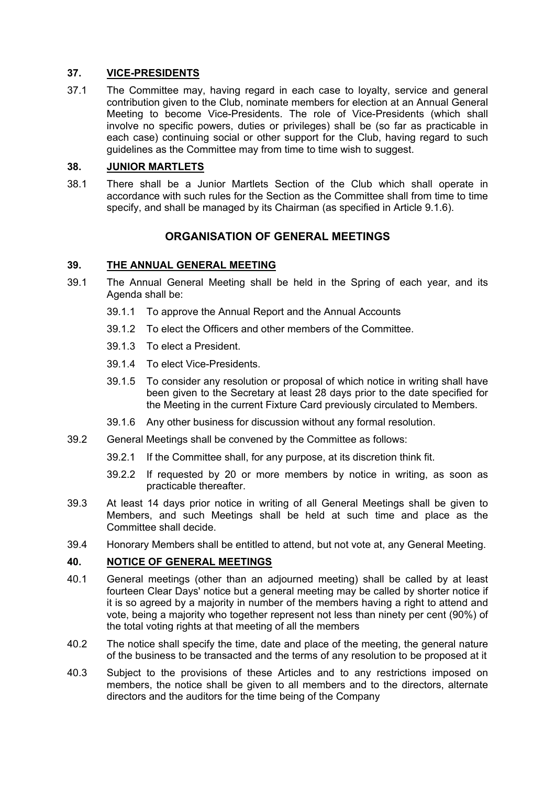### **37. VICE-PRESIDENTS**

37.1 The Committee may, having regard in each case to loyalty, service and general contribution given to the Club, nominate members for election at an Annual General Meeting to become Vice-Presidents. The role of Vice-Presidents (which shall involve no specific powers, duties or privileges) shall be (so far as practicable in each case) continuing social or other support for the Club, having regard to such guidelines as the Committee may from time to time wish to suggest.

### **38. JUNIOR MARTLETS**

38.1 There shall be a Junior Martlets Section of the Club which shall operate in accordance with such rules for the Section as the Committee shall from time to time specify, and shall be managed by its Chairman (as specified in Article 9.1.6).

### **ORGANISATION OF GENERAL MEETINGS**

#### **39. THE ANNUAL GENERAL MEETING**

- 39.1 The Annual General Meeting shall be held in the Spring of each year, and its Agenda shall be:
	- 39.1.1 To approve the Annual Report and the Annual Accounts
	- 39.1.2 To elect the Officers and other members of the Committee.
	- 39.1.3 To elect a President.
	- 39.1.4 To elect Vice-Presidents.
	- 39.1.5 To consider any resolution or proposal of which notice in writing shall have been given to the Secretary at least 28 days prior to the date specified for the Meeting in the current Fixture Card previously circulated to Members.
	- 39.1.6 Any other business for discussion without any formal resolution.
- 39.2 General Meetings shall be convened by the Committee as follows:
	- 39.2.1 If the Committee shall, for any purpose, at its discretion think fit.
	- 39.2.2 If requested by 20 or more members by notice in writing, as soon as practicable thereafter.
- 39.3 At least 14 days prior notice in writing of all General Meetings shall be given to Members, and such Meetings shall be held at such time and place as the Committee shall decide.
- 39.4 Honorary Members shall be entitled to attend, but not vote at, any General Meeting.

### **40. NOTICE OF GENERAL MEETINGS**

- 40.1 General meetings (other than an adjourned meeting) shall be called by at least fourteen Clear Days' notice but a general meeting may be called by shorter notice if it is so agreed by a majority in number of the members having a right to attend and vote, being a majority who together represent not less than ninety per cent (90%) of the total voting rights at that meeting of all the members
- 40.2 The notice shall specify the time, date and place of the meeting, the general nature of the business to be transacted and the terms of any resolution to be proposed at it
- 40.3 Subject to the provisions of these Articles and to any restrictions imposed on members, the notice shall be given to all members and to the directors, alternate directors and the auditors for the time being of the Company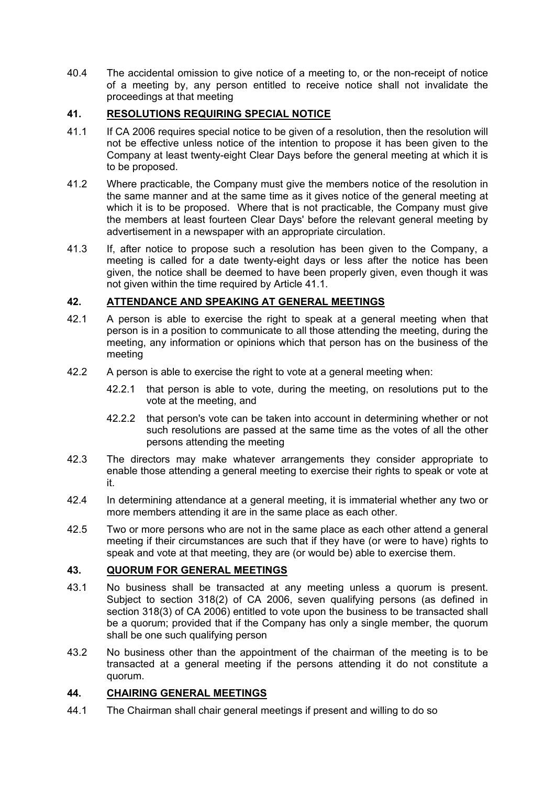40.4 The accidental omission to give notice of a meeting to, or the non-receipt of notice of a meeting by, any person entitled to receive notice shall not invalidate the proceedings at that meeting

### **41. RESOLUTIONS REQUIRING SPECIAL NOTICE**

- 41.1 If CA 2006 requires special notice to be given of a resolution, then the resolution will not be effective unless notice of the intention to propose it has been given to the Company at least twenty-eight Clear Days before the general meeting at which it is to be proposed.
- 41.2 Where practicable, the Company must give the members notice of the resolution in the same manner and at the same time as it gives notice of the general meeting at which it is to be proposed. Where that is not practicable, the Company must give the members at least fourteen Clear Days' before the relevant general meeting by advertisement in a newspaper with an appropriate circulation.
- 41.3 If, after notice to propose such a resolution has been given to the Company, a meeting is called for a date twenty-eight days or less after the notice has been given, the notice shall be deemed to have been properly given, even though it was not given within the time required by Article 41.1.

### **42. ATTENDANCE AND SPEAKING AT GENERAL MEETINGS**

- 42.1 A person is able to exercise the right to speak at a general meeting when that person is in a position to communicate to all those attending the meeting, during the meeting, any information or opinions which that person has on the business of the meeting
- 42.2 A person is able to exercise the right to vote at a general meeting when:
	- 42.2.1 that person is able to vote, during the meeting, on resolutions put to the vote at the meeting, and
	- 42.2.2 that person's vote can be taken into account in determining whether or not such resolutions are passed at the same time as the votes of all the other persons attending the meeting
- 42.3 The directors may make whatever arrangements they consider appropriate to enable those attending a general meeting to exercise their rights to speak or vote at it.
- 42.4 In determining attendance at a general meeting, it is immaterial whether any two or more members attending it are in the same place as each other.
- 42.5 Two or more persons who are not in the same place as each other attend a general meeting if their circumstances are such that if they have (or were to have) rights to speak and vote at that meeting, they are (or would be) able to exercise them.

### **43. QUORUM FOR GENERAL MEETINGS**

- 43.1 No business shall be transacted at any meeting unless a quorum is present. Subject to section 318(2) of CA 2006, seven qualifying persons (as defined in section 318(3) of CA 2006) entitled to vote upon the business to be transacted shall be a quorum; provided that if the Company has only a single member, the quorum shall be one such qualifying person
- 43.2 No business other than the appointment of the chairman of the meeting is to be transacted at a general meeting if the persons attending it do not constitute a quorum.

### **44. CHAIRING GENERAL MEETINGS**

44.1 The Chairman shall chair general meetings if present and willing to do so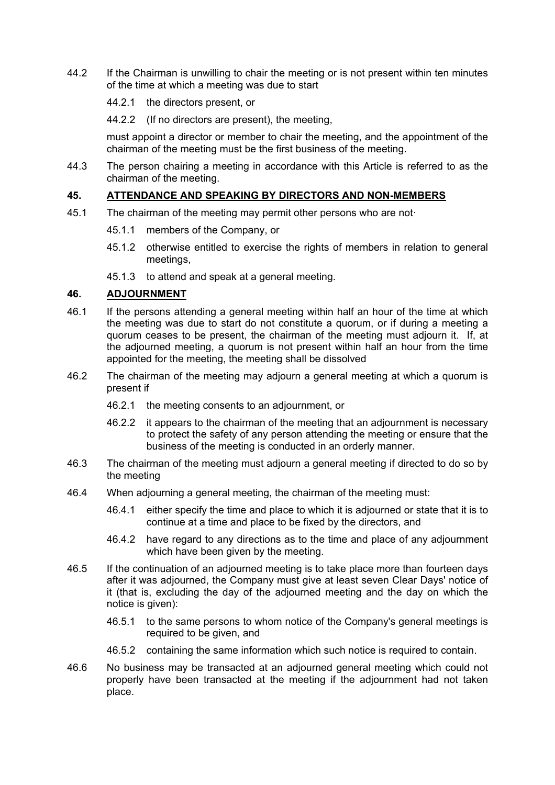- 44.2 If the Chairman is unwilling to chair the meeting or is not present within ten minutes of the time at which a meeting was due to start
	- 44.2.1 the directors present, or
	- 44.2.2 (If no directors are present), the meeting,

must appoint a director or member to chair the meeting, and the appointment of the chairman of the meeting must be the first business of the meeting.

44.3 The person chairing a meeting in accordance with this Article is referred to as the chairman of the meeting.

### **45. ATTENDANCE AND SPEAKING BY DIRECTORS AND NON-MEMBERS**

- 45.1 The chairman of the meeting may permit other persons who are not-
	- 45.1.1 members of the Company, or
	- 45.1.2 otherwise entitled to exercise the rights of members in relation to general meetings,
	- 45.1.3 to attend and speak at a general meeting.

#### **46. ADJOURNMENT**

- 46.1 If the persons attending a general meeting within half an hour of the time at which the meeting was due to start do not constitute a quorum, or if during a meeting a quorum ceases to be present, the chairman of the meeting must adjourn it. If, at the adjourned meeting, a quorum is not present within half an hour from the time appointed for the meeting, the meeting shall be dissolved
- 46.2 The chairman of the meeting may adjourn a general meeting at which a quorum is present if
	- 46.2.1 the meeting consents to an adjournment, or
	- 46.2.2 it appears to the chairman of the meeting that an adjournment is necessary to protect the safety of any person attending the meeting or ensure that the business of the meeting is conducted in an orderly manner.
- 46.3 The chairman of the meeting must adjourn a general meeting if directed to do so by the meeting
- 46.4 When adjourning a general meeting, the chairman of the meeting must:
	- 46.4.1 either specify the time and place to which it is adjourned or state that it is to continue at a time and place to be fixed by the directors, and
	- 46.4.2 have regard to any directions as to the time and place of any adjournment which have been given by the meeting.
- 46.5 If the continuation of an adjourned meeting is to take place more than fourteen days after it was adjourned, the Company must give at least seven Clear Days' notice of it (that is, excluding the day of the adjourned meeting and the day on which the notice is given):
	- 46.5.1 to the same persons to whom notice of the Company's general meetings is required to be given, and
	- 46.5.2 containing the same information which such notice is required to contain.
- 46.6 No business may be transacted at an adjourned general meeting which could not properly have been transacted at the meeting if the adjournment had not taken place.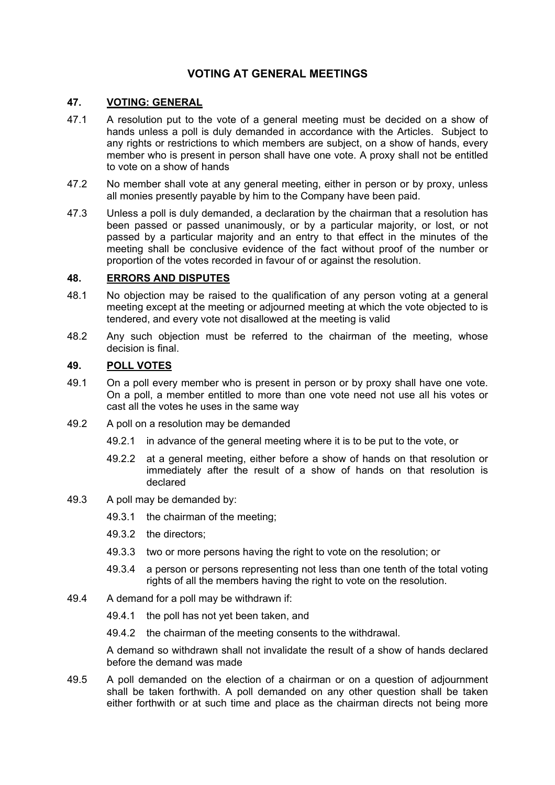### **VOTING AT GENERAL MEETINGS**

### **47. VOTING: GENERAL**

- 47.1 A resolution put to the vote of a general meeting must be decided on a show of hands unless a poll is duly demanded in accordance with the Articles. Subject to any rights or restrictions to which members are subject, on a show of hands, every member who is present in person shall have one vote. A proxy shall not be entitled to vote on a show of hands
- 47.2 No member shall vote at any general meeting, either in person or by proxy, unless all monies presently payable by him to the Company have been paid.
- 47.3 Unless a poll is duly demanded, a declaration by the chairman that a resolution has been passed or passed unanimously, or by a particular majority, or lost, or not passed by a particular majority and an entry to that effect in the minutes of the meeting shall be conclusive evidence of the fact without proof of the number or proportion of the votes recorded in favour of or against the resolution.

### **48. ERRORS AND DISPUTES**

- 48.1 No objection may be raised to the qualification of any person voting at a general meeting except at the meeting or adjourned meeting at which the vote objected to is tendered, and every vote not disallowed at the meeting is valid
- 48.2 Any such objection must be referred to the chairman of the meeting, whose decision is final.

### **49. POLL VOTES**

- 49.1 On a poll every member who is present in person or by proxy shall have one vote. On a poll, a member entitled to more than one vote need not use all his votes or cast all the votes he uses in the same way
- 49.2 A poll on a resolution may be demanded
	- 49.2.1 in advance of the general meeting where it is to be put to the vote, or
	- 49.2.2 at a general meeting, either before a show of hands on that resolution or immediately after the result of a show of hands on that resolution is declared
- 49.3 A poll may be demanded by:
	- 49.3.1 the chairman of the meeting;
	- 49.3.2 the directors;
	- 49.3.3 two or more persons having the right to vote on the resolution; or
	- 49.3.4 a person or persons representing not less than one tenth of the total voting rights of all the members having the right to vote on the resolution.
- 49.4 A demand for a poll may be withdrawn if:
	- 49.4.1 the poll has not yet been taken, and
	- 49.4.2 the chairman of the meeting consents to the withdrawal.

A demand so withdrawn shall not invalidate the result of a show of hands declared before the demand was made

49.5 A poll demanded on the election of a chairman or on a question of adjournment shall be taken forthwith. A poll demanded on any other question shall be taken either forthwith or at such time and place as the chairman directs not being more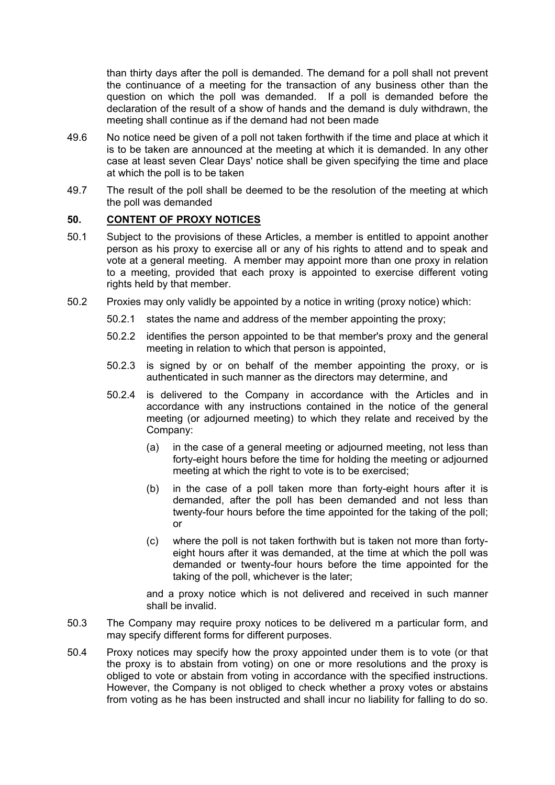than thirty days after the poll is demanded. The demand for a poll shall not prevent the continuance of a meeting for the transaction of any business other than the question on which the poll was demanded. If a poll is demanded before the declaration of the result of a show of hands and the demand is duly withdrawn, the meeting shall continue as if the demand had not been made

- 49.6 No notice need be given of a poll not taken forthwith if the time and place at which it is to be taken are announced at the meeting at which it is demanded. In any other case at least seven Clear Days' notice shall be given specifying the time and place at which the poll is to be taken
- 49.7 The result of the poll shall be deemed to be the resolution of the meeting at which the poll was demanded

### **50. CONTENT OF PROXY NOTICES**

- 50.1 Subject to the provisions of these Articles, a member is entitled to appoint another person as his proxy to exercise all or any of his rights to attend and to speak and vote at a general meeting. A member may appoint more than one proxy in relation to a meeting, provided that each proxy is appointed to exercise different voting rights held by that member.
- 50.2 Proxies may only validly be appointed by a notice in writing (proxy notice) which:
	- 50.2.1 states the name and address of the member appointing the proxy;
	- 50.2.2 identifies the person appointed to be that member's proxy and the general meeting in relation to which that person is appointed,
	- 50.2.3 is signed by or on behalf of the member appointing the proxy, or is authenticated in such manner as the directors may determine, and
	- 50.2.4 is delivered to the Company in accordance with the Articles and in accordance with any instructions contained in the notice of the general meeting (or adjourned meeting) to which they relate and received by the Company:
		- (a) in the case of a general meeting or adjourned meeting, not less than forty-eight hours before the time for holding the meeting or adjourned meeting at which the right to vote is to be exercised;
		- (b) in the case of a poll taken more than forty-eight hours after it is demanded, after the poll has been demanded and not less than twenty-four hours before the time appointed for the taking of the poll; or
		- (c) where the poll is not taken forthwith but is taken not more than fortyeight hours after it was demanded, at the time at which the poll was demanded or twenty-four hours before the time appointed for the taking of the poll, whichever is the later;

and a proxy notice which is not delivered and received in such manner shall be invalid.

- 50.3 The Company may require proxy notices to be delivered m a particular form, and may specify different forms for different purposes.
- 50.4 Proxy notices may specify how the proxy appointed under them is to vote (or that the proxy is to abstain from voting) on one or more resolutions and the proxy is obliged to vote or abstain from voting in accordance with the specified instructions. However, the Company is not obliged to check whether a proxy votes or abstains from voting as he has been instructed and shall incur no liability for falling to do so.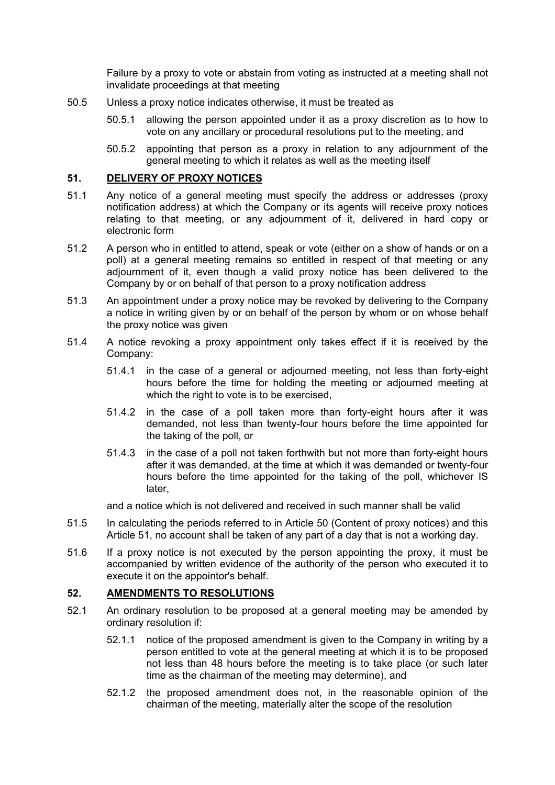Failure by a proxy to vote or abstain from voting as instructed at a meeting shall not invalidate proceedings at that meeting

- 50.5 Unless a proxy notice indicates otherwise, it must be treated as
	- 50.5.1 allowing the person appointed under it as a proxy discretion as to how to vote on any ancillary or procedural resolutions put to the meeting, and
	- 50.5.2 appointing that person as a proxy in relation to any adjournment of the general meeting to which it relates as well as the meeting itself

### **51. DELIVERY OF PROXY NOTICES**

- 51.1 Any notice of a general meeting must specify the address or addresses (proxy notification address) at which the Company or its agents will receive proxy notices relating to that meeting, or any adjournment of it, delivered in hard copy or electronic form
- 51.2 A person who in entitled to attend, speak or vote (either on a show of hands or on a poll) at a general meeting remains so entitled in respect of that meeting or any adjournment of it, even though a valid proxy notice has been delivered to the Company by or on behalf of that person to a proxy notification address
- 51.3 An appointment under a proxy notice may be revoked by delivering to the Company a notice in writing given by or on behalf of the person by whom or on whose behalf the proxy notice was given
- 51.4 A notice revoking a proxy appointment only takes effect if it is received by the Company:
	- 51.4.1 in the case of a general or adjourned meeting, not less than forty-eight hours before the time for holding the meeting or adjourned meeting at which the right to vote is to be exercised.
	- 51.4.2 in the case of a poll taken more than forty-eight hours after it was demanded, not less than twenty-four hours before the time appointed for the taking of the poll, or
	- 51.4.3 in the case of a poll not taken forthwith but not more than forty-eight hours after it was demanded, at the time at which it was demanded or twenty-four hours before the time appointed for the taking of the poll, whichever IS later

and a notice which is not delivered and received in such manner shall be valid

- 51.5 In calculating the periods referred to in Article 50 (Content of proxy notices) and this Article 51, no account shall be taken of any part of a day that is not a working day.
- 51.6 If a proxy notice is not executed by the person appointing the proxy, it must be accompanied by written evidence of the authority of the person who executed it to execute it on the appointor's behalf.

### **52. AMENDMENTS TO RESOLUTIONS**

- 52.1 An ordinary resolution to be proposed at a general meeting may be amended by ordinary resolution if:
	- 52.1.1 notice of the proposed amendment is given to the Company in writing by a person entitled to vote at the general meeting at which it is to be proposed not less than 48 hours before the meeting is to take place (or such later time as the chairman of the meeting may determine), and
	- 52.1.2 the proposed amendment does not, in the reasonable opinion of the chairman of the meeting, materially alter the scope of the resolution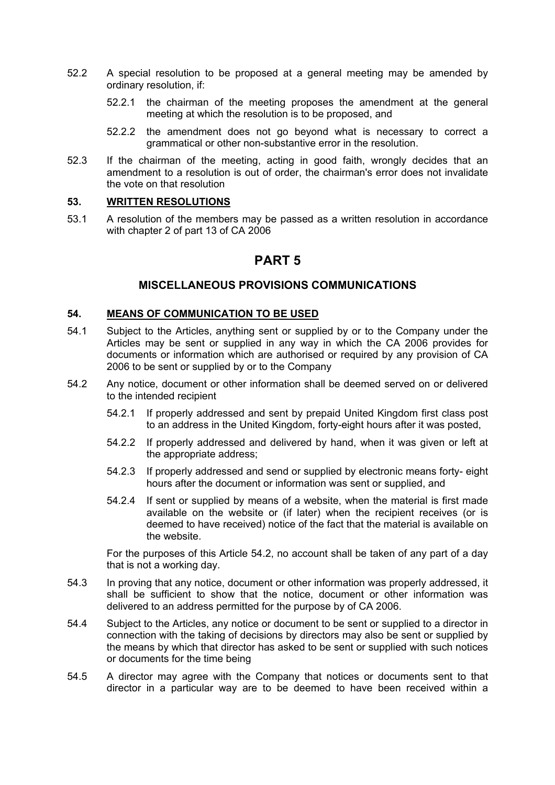- 52.2 A special resolution to be proposed at a general meeting may be amended by ordinary resolution, if:
	- 52.2.1 the chairman of the meeting proposes the amendment at the general meeting at which the resolution is to be proposed, and
	- 52.2.2 the amendment does not go beyond what is necessary to correct a grammatical or other non-substantive error in the resolution.
- 52.3 If the chairman of the meeting, acting in good faith, wrongly decides that an amendment to a resolution is out of order, the chairman's error does not invalidate the vote on that resolution

### **53. WRITTEN RESOLUTIONS**

53.1 A resolution of the members may be passed as a written resolution in accordance with chapter 2 of part 13 of CA 2006

### **PART 5**

### **MISCELLANEOUS PROVISIONS COMMUNICATIONS**

#### **54. MEANS OF COMMUNICATION TO BE USED**

- 54.1 Subject to the Articles, anything sent or supplied by or to the Company under the Articles may be sent or supplied in any way in which the CA 2006 provides for documents or information which are authorised or required by any provision of CA 2006 to be sent or supplied by or to the Company
- 54.2 Any notice, document or other information shall be deemed served on or delivered to the intended recipient
	- 54.2.1 If properly addressed and sent by prepaid United Kingdom first class post to an address in the United Kingdom, forty-eight hours after it was posted,
	- 54.2.2 If properly addressed and delivered by hand, when it was given or left at the appropriate address;
	- 54.2.3 If properly addressed and send or supplied by electronic means forty- eight hours after the document or information was sent or supplied, and
	- 54.2.4 If sent or supplied by means of a website, when the material is first made available on the website or (if later) when the recipient receives (or is deemed to have received) notice of the fact that the material is available on the website.

For the purposes of this Article 54.2, no account shall be taken of any part of a day that is not a working day.

- 54.3 In proving that any notice, document or other information was properly addressed, it shall be sufficient to show that the notice, document or other information was delivered to an address permitted for the purpose by of CA 2006.
- 54.4 Subject to the Articles, any notice or document to be sent or supplied to a director in connection with the taking of decisions by directors may also be sent or supplied by the means by which that director has asked to be sent or supplied with such notices or documents for the time being
- 54.5 A director may agree with the Company that notices or documents sent to that director in a particular way are to be deemed to have been received within a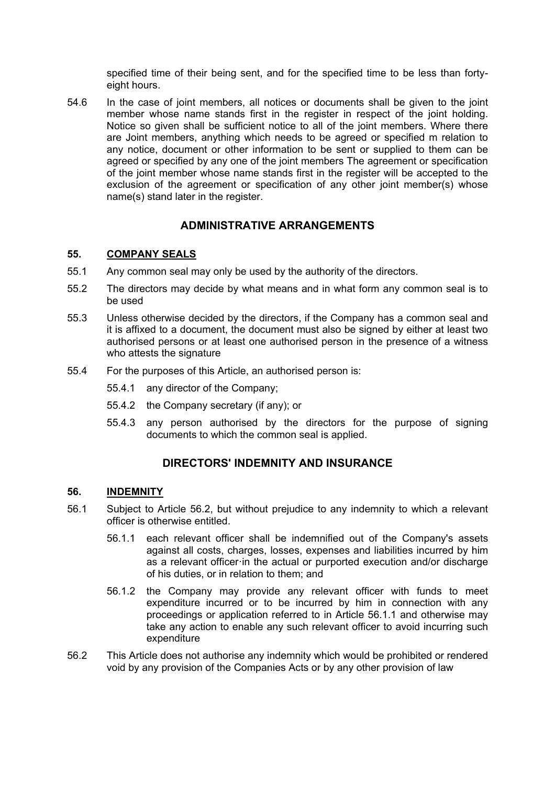specified time of their being sent, and for the specified time to be less than fortyeight hours.

54.6 In the case of joint members, all notices or documents shall be given to the joint member whose name stands first in the register in respect of the joint holding. Notice so given shall be sufficient notice to all of the joint members. Where there are Joint members, anything which needs to be agreed or specified m relation to any notice, document or other information to be sent or supplied to them can be agreed or specified by any one of the joint members The agreement or specification of the joint member whose name stands first in the register will be accepted to the exclusion of the agreement or specification of any other joint member(s) whose name(s) stand later in the register.

### **ADMINISTRATIVE ARRANGEMENTS**

### **55. COMPANY SEALS**

- 55.1 Any common seal may only be used by the authority of the directors.
- 55.2 The directors may decide by what means and in what form any common seal is to be used
- 55.3 Unless otherwise decided by the directors, if the Company has a common seal and it is affixed to a document, the document must also be signed by either at least two authorised persons or at least one authorised person in the presence of a witness who attests the signature
- 55.4 For the purposes of this Article, an authorised person is:
	- 55.4.1 any director of the Company;
	- 55.4.2 the Company secretary (if any); or
	- 55.4.3 any person authorised by the directors for the purpose of signing documents to which the common seal is applied.

### **DIRECTORS' INDEMNITY AND INSURANCE**

#### **56. INDEMNITY**

- 56.1 Subject to Article 56.2, but without prejudice to any indemnity to which a relevant officer is otherwise entitled.
	- 56.1.1 each relevant officer shall be indemnified out of the Company's assets against all costs, charges, losses, expenses and liabilities incurred by him as a relevant officer·in the actual or purported execution and/or discharge of his duties, or in relation to them; and
	- 56.1.2 the Company may provide any relevant officer with funds to meet expenditure incurred or to be incurred by him in connection with any proceedings or application referred to in Article 56.1.1 and otherwise may take any action to enable any such relevant officer to avoid incurring such expenditure
- 56.2 This Article does not authorise any indemnity which would be prohibited or rendered void by any provision of the Companies Acts or by any other provision of law